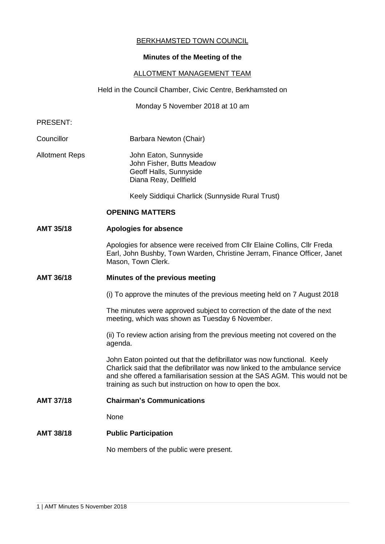# BERKHAMSTED TOWN COUNCIL

# **Minutes of the Meeting of the**

## ALLOTMENT MANAGEMENT TEAM

Held in the Council Chamber, Civic Centre, Berkhamsted on

Monday 5 November 2018 at 10 am

### PRESENT:

- Councillor **Barbara Newton (Chair)**
- Allotment Reps John Eaton, Sunnyside John Fisher, Butts Meadow Geoff Halls, Sunnyside Diana Reay, Dellfield

Keely Siddiqui Charlick (Sunnyside Rural Trust)

## **OPENING MATTERS**

### **AMT 35/18 Apologies for absence**

Apologies for absence were received from Cllr Elaine Collins, Cllr Freda Earl, John Bushby, Town Warden, Christine Jerram, Finance Officer, Janet Mason, Town Clerk.

### **AMT 36/18 Minutes of the previous meeting**

(i) To approve the minutes of the previous meeting held on 7 August 2018

The minutes were approved subject to correction of the date of the next meeting, which was shown as Tuesday 6 November.

(ii) To review action arising from the previous meeting not covered on the agenda.

John Eaton pointed out that the defibrillator was now functional. Keely Charlick said that the defibrillator was now linked to the ambulance service and she offered a familiarisation session at the SAS AGM. This would not be training as such but instruction on how to open the box.

**AMT 37/18 Chairman's Communications**

None

# **AMT 38/18 Public Participation**

No members of the public were present.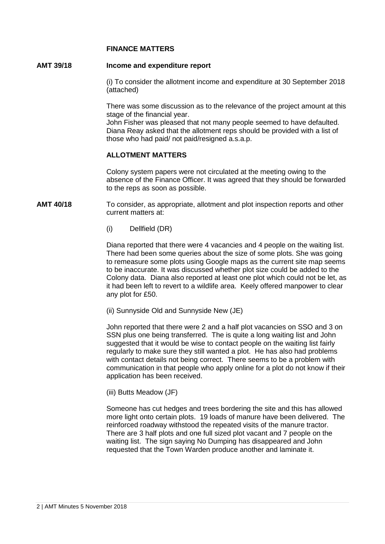## **FINANCE MATTERS**

## **AMT 39/18 Income and expenditure report**

(i) To consider the allotment income and expenditure at 30 September 2018 (attached)

There was some discussion as to the relevance of the project amount at this stage of the financial year.

John Fisher was pleased that not many people seemed to have defaulted. Diana Reay asked that the allotment reps should be provided with a list of those who had paid/ not paid/resigned a.s.a.p.

# **ALLOTMENT MATTERS**

Colony system papers were not circulated at the meeting owing to the absence of the Finance Officer. It was agreed that they should be forwarded to the reps as soon as possible.

**AMT 40/18** To consider, as appropriate, allotment and plot inspection reports and other current matters at:

(i) Dellfield (DR)

Diana reported that there were 4 vacancies and 4 people on the waiting list. There had been some queries about the size of some plots. She was going to remeasure some plots using Google maps as the current site map seems to be inaccurate. It was discussed whether plot size could be added to the Colony data. Diana also reported at least one plot which could not be let, as it had been left to revert to a wildlife area. Keely offered manpower to clear any plot for £50.

(ii) Sunnyside Old and Sunnyside New (JE)

John reported that there were 2 and a half plot vacancies on SSO and 3 on SSN plus one being transferred. The is quite a long waiting list and John suggested that it would be wise to contact people on the waiting list fairly regularly to make sure they still wanted a plot. He has also had problems with contact details not being correct. There seems to be a problem with communication in that people who apply online for a plot do not know if their application has been received.

(iii) Butts Meadow (JF)

Someone has cut hedges and trees bordering the site and this has allowed more light onto certain plots. 19 loads of manure have been delivered. The reinforced roadway withstood the repeated visits of the manure tractor. There are 3 half plots and one full sized plot vacant and 7 people on the waiting list. The sign saying No Dumping has disappeared and John requested that the Town Warden produce another and laminate it.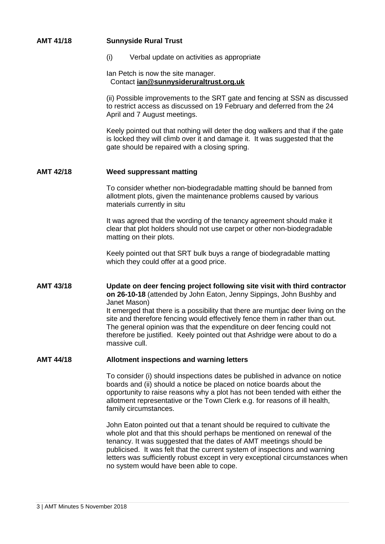| <b>AMT 41/18</b> | <b>Sunnyside Rural Trust</b>                                                                                                                                                                                                                                                                                                                                                                                                                                                                                  |
|------------------|---------------------------------------------------------------------------------------------------------------------------------------------------------------------------------------------------------------------------------------------------------------------------------------------------------------------------------------------------------------------------------------------------------------------------------------------------------------------------------------------------------------|
|                  | (i)<br>Verbal update on activities as appropriate                                                                                                                                                                                                                                                                                                                                                                                                                                                             |
|                  | Ian Petch is now the site manager.<br>Contact jan@sunnysideruraltrust.org.uk                                                                                                                                                                                                                                                                                                                                                                                                                                  |
|                  | (ii) Possible improvements to the SRT gate and fencing at SSN as discussed<br>to restrict access as discussed on 19 February and deferred from the 24<br>April and 7 August meetings.                                                                                                                                                                                                                                                                                                                         |
|                  | Keely pointed out that nothing will deter the dog walkers and that if the gate<br>is locked they will climb over it and damage it. It was suggested that the<br>gate should be repaired with a closing spring.                                                                                                                                                                                                                                                                                                |
| <b>AMT 42/18</b> | <b>Weed suppressant matting</b>                                                                                                                                                                                                                                                                                                                                                                                                                                                                               |
|                  | To consider whether non-biodegradable matting should be banned from<br>allotment plots, given the maintenance problems caused by various<br>materials currently in situ                                                                                                                                                                                                                                                                                                                                       |
|                  | It was agreed that the wording of the tenancy agreement should make it<br>clear that plot holders should not use carpet or other non-biodegradable<br>matting on their plots.                                                                                                                                                                                                                                                                                                                                 |
|                  | Keely pointed out that SRT bulk buys a range of biodegradable matting<br>which they could offer at a good price.                                                                                                                                                                                                                                                                                                                                                                                              |
| <b>AMT 43/18</b> | Update on deer fencing project following site visit with third contractor<br>on 26-10-18 (attended by John Eaton, Jenny Sippings, John Bushby and<br>Janet Mason)<br>It emerged that there is a possibility that there are muntjac deer living on the<br>site and therefore fencing would effectively fence them in rather than out.<br>The general opinion was that the expenditure on deer fencing could not<br>therefore be justified. Keely pointed out that Ashridge were about to do a<br>massive cull. |
| <b>AMT 44/18</b> | <b>Allotment inspections and warning letters</b>                                                                                                                                                                                                                                                                                                                                                                                                                                                              |
|                  | To consider (i) should inspections dates be published in advance on notice<br>boards and (ii) should a notice be placed on notice boards about the<br>opportunity to raise reasons why a plot has not been tended with either the<br>allotment representative or the Town Clerk e.g. for reasons of ill health,<br>family circumstances.                                                                                                                                                                      |

John Eaton pointed out that a tenant should be required to cultivate the whole plot and that this should perhaps be mentioned on renewal of the tenancy. It was suggested that the dates of AMT meetings should be publicised. It was felt that the current system of inspections and warning letters was sufficiently robust except in very exceptional circumstances when no system would have been able to cope.